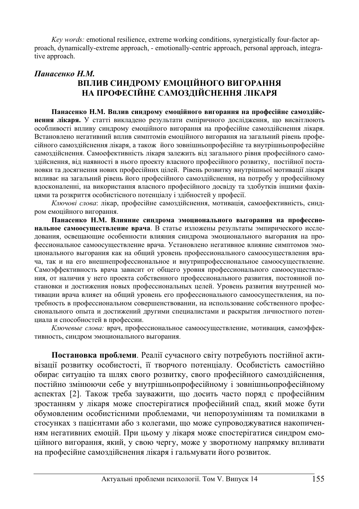*Key words:* emotional resilience, extreme working conditions, synergistically four-factor approach, dynamically-extreme approach, - emotionally-centric approach, personal approach, integrative approach.

# **Панасенко Н.М. ВПЛИВ СИНДРОМУ ЕМОШЙНОГО ВИГОРАННЯ** НА ПРОФЕСІЙНЕ САМОЗЛІЙСНЕННЯ ЛІКАРЯ

Панасенко Н.М. Вплив синдрому емоційного вигорання на професійне самоздійс**нення лікаря.** У статті викладено результати емпіричного дослідження, що висвітлюють особливості впливу синдрому емоційного вигорання на професійне самоздійснення лікаря. Встановлено негативний вплив симптомів емоційного вигорання на загальний рівень професійного самоздійснення лікаря, а також його зовнішньопрофесійне та внутрішньопрофесійне самоздійснення. Самоефективність лікаря залежить від загального рівня професійного самоздійснення, від наявності в нього проекту власного професійного розвитку, постійної постановки та досягнення нових професійних цілей. Рівень розвитку внутрішньої мотивації лікаря впливає на загальний рівень його професійного самоздійснення, на потребу у професійному вдосконаленні, на використання власного професійного досвіду та здобутків іншими фахівиями та розкриття особистісного потенціалу і злібностей у професії.

Ключові слова: лікар, професійне самоздійснення, мотивація, самоефективність, синдром емоційного вигорання.

Панасенко Н.М. Влияние синдрома эмоционального выгорания на профессиональное самоосуществление врача. В статье изложены результаты эмпирического исследования, освещающие особенности влияния синдрома эмоционального выгорания на профессиональное самоосуществление врача. Установлено негативное влияние симптомов эмоционального выгорания как на общий уровень профессионального самоосуществления врача, так и на его внешнепрофессиональное и внутрипрофессиональное самоосушествление. Самоэффективность врача зависит от общего уровня профессионального самоосуществления, от наличия у него проекта собственного профессионального развития, постоянной постановки и достижения новых профессиональных целей. Уровень развития внутренней мотивации врача влияет на общий уровень его профессионального самоосуществления, на потребность в профессиональном совершенствовании, на использование собственного профессионального опыта и достижений другими специалистами и раскрытия личностного потенциала и способностей в профессии.

Ключевые слова: врач, профессиональное самоосуществление, мотивация, самоэффективность, синдром эмоционального выгорания.

Постановка проблеми. Реалії сучасного світу потребують постійної активізації розвитку особистості, її творчого потенціалу. Особистість самостійно обирає ситуацію та шлях свого розвитку, свого професійного самоздійснення, постійно змінюючи себе у внутрішньопрофесійному і зовнішньопрофесійному аспектах [2]. Також треба зауважити, що досить часто поряд с професійним зростанням у лікаря може спостерігатися професійний спад, який може бути обумовленим особистісними проблемами, чи непорозумінням та помилками в стосунках з пацієнтами або з колегами, що може супроводжуватися накопиченням негативних емоцій. При цьому у лікаря може спостерігатися синдром емоційного вигорання, який, у свою чергу, може у зворотному напрямку впливати на професійне самоздійснення лікаря і гальмувати його розвиток.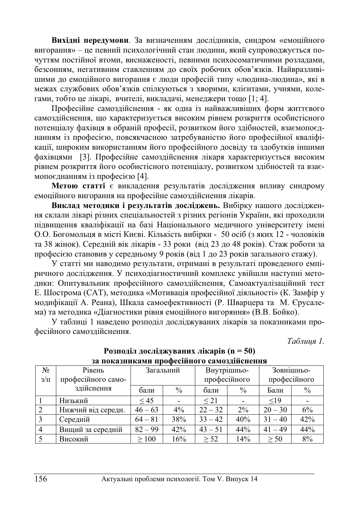Вихідні передумови. За визначенням дослідників, синдром «емоційного вигорання» – це певний психологічний стан людини, який супроводжується почуттям постійної втоми, виснаженості, певними психосоматичними розлалами, безсонням, негативним ставленням до своїх робочих обов'язків. Найвразливішими до емоційного вигорання є люди професій типу «людина-людина», які в межах службових обов'язків спілкуються з хворими, клієнтами, учнями, колегами, тобто це лікарі, вчителі, викладачі, менеджери тощо [1; 4].

Професійне самоздійснення - як одна із найважливіших форм життєвого самоздійснення, що характеризується високим рівнем розкриття особистісного потенціалу фахівця в обраній професії, розвитком його здібностей, взаємопоєднанням із професією, повсякчасною затребуваністю його професійної кваліфікаџії, широким використанням його професійного лосвілу та злобутків іншими фахівцями [3]. Професійне самоздійснення лікаря характеризується високим рівнем розкриття його особистісного потенціалу, розвитком здібностей та взаємопоєднанням із професією [4].

**Метою статті** є викладення результатів дослідження впливу синдрому емоційного вигорання на професійне самоздійснення лікарів.

Виклад методики і результатів досліджень. Вибірку нашого дослідження склали лікарі різних спеціальностей з різних регіонів України, які проходили пілвишення кваліфікації на базі Національного меличного університету імені О.О. Богомольця в місті Києві. Кількість вибірки - 50 осіб (з яких 12 - чоловіків та 38 жінок). Середній вік лікарів - 33 роки (від 23 до 48 років). Стаж роботи за професією становив у середньому 9 років (від 1 до 23 років загального стажу).

У статті ми наводимо результати, отримані в результаті проведеного емпіричного дослідження. У психодіагностичний комплекс увійшли наступні методики: Опитувальник професійного самоздійснення, Самоактуалізаційний тест Е. Шострома (САТ), методика «Мотивація професійної діяльності» (К. Замфір у модифікації А. Реана), Шкала самоефективності (Р. Шварцера та М. Єрусалема) та методика «Діагностики рівня емоційного вигоряння» (В.В. Бойко).

У таблиці 1 наведено розподіл досліджуваних лікарів за показниками професійного самоздійснення.

*Таблиия 1.* 

| Nº.            | Рівень             | Загальний  |               |              | Внутрішньо-   | Зовнішньо-   |               |
|----------------|--------------------|------------|---------------|--------------|---------------|--------------|---------------|
| $3/\Pi$        | професійного само- |            |               | професійного |               | професійного |               |
|                | здійснення         | бали       | $\frac{0}{0}$ | бали         | $\frac{0}{0}$ | Бали         | $\frac{0}{0}$ |
|                | Низький            | < 45       |               | $\leq$ 21    |               | <19          |               |
| 2              | Нижчий від середн. | $46 - 63$  | $4\%$         | $22 - 32$    | $2\%$         | $20 - 30$    | 6%            |
| 3              | Середній           | $64 - 81$  | 38%           | $33 - 42$    | 40%           | $31 - 40$    | 42%           |
| $\overline{4}$ | Вищий за середній  | $82 - 99$  | 42%           | $43 - 51$    | 44%           | $41 - 49$    | 44%           |
|                | Високий            | $\geq 100$ | 16%           | $\geq$ 52    | 14%           | > 50         | 8%            |

### Розподіл досліджуваних лікарів (n = 50) за показниками професійного самозлійснення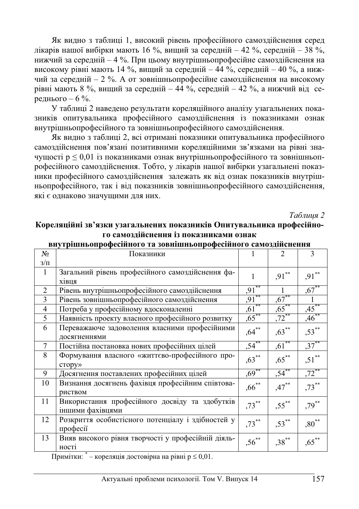Як видно з таблиці 1, високий рівень професійного самоздійснення серед лікарів нашої вибірки мають 16 %, вищий за середній – 42 %, середній – 38 %, нижчий за серелній – 4 %. При пьому внутрішньопрофесійне самозлійснення на високому рівні мають 14 %, вищий за середній – 44 %, середній – 40 %, а нижчий за середній – 2 %. А от зовнішньопрофесійне самоздійснення на високому рівні мають 8 %, вищий за середній – 44 %, середній – 42 %, а нижчий від середнього – 6 %.

У таблиці 2 навелено результати кореляційного аналізу узагальнених показників опитувальника професійного самоздійснення із показниками ознак внутрішньопрофесійного та зовнішньопрофесійного самоздійснення.

Як видно з таблиці 2, всі отримані показники опитувальника професійного самозлійснення пов'язані позитивними кореляційними зв'язками на рівні значущості р  $\leq 0.01$  із показниками ознак внутрішньопрофесійного та зовнішньопрофесійного самоздійснення. Тобто, у лікарів нашої вибірки узагальнені показники професійного самозлійснення залежать як віл ознак показників внутрішньопрофесійного, так і від показників зовнішньопрофесійного самоздійснення, які є однаково значущими для них.

*Таблиия 2* 

## Кореляційні зв'язки узагальнених показників Опитувальника професійного самозлійснення із показниками ознак

| $N_2$          | Показники                                          |            | $\mathfrak{D}$ | $\mathbf{3}$        |
|----------------|----------------------------------------------------|------------|----------------|---------------------|
| $3/\Pi$        |                                                    |            |                |                     |
|                | Загальний рівень професійного самоздійснення фа-   |            | $,91***$       | $,91***$            |
|                | хівця                                              |            |                |                     |
| $\overline{2}$ | Рівень внутрішньопрофесійного самоздійснення       | ,91        |                | $.67***$            |
| 3              | Рівень зовнішньопрофесійного самоздійснення        | $.91***$   | $.67***$       |                     |
| 4              | Потреба у професійному вдосконаленні               | $.61***$   | $.65***$       | $.45***$            |
| 5              | Наявність проекту власного професійного розвитку   | $.65***$   | .72            | $.46$ <sup>**</sup> |
| 6              | Переважаюче задоволення власними професійними      | $,64***$   | $,63***$       | $,53***$            |
|                | досягненнями                                       |            |                |                     |
| 7              | Постійна постановка нових професійних цілей        | $.54***$   | $.61***$       | $.37***$            |
| 8              | Формування власного «життєво-професійного про-     | $,63***$   | $,65***$       | $,51***$            |
|                | $c_{\text{TOPV}}$                                  |            |                |                     |
| 9              | Досягнення поставлених професійних цілей           | $.69***$   | $.54***$       | $\sqrt{72}^{**}$    |
| 10             | Визнання досягнень фахівця професійним співтова-   | $,66^{**}$ | $,47***$       | $,73***$            |
|                | риством                                            |            |                |                     |
| 11             | Використання професійного досвіду та здобутків     | $,73***$   | $,55***$       | $,79***$            |
|                | іншими фахівцями                                   |            |                |                     |
| 12             | Розкриття особистісного потенціалу і здібностей у  | $.73***$   | $,53***$       | $,80^{\ast\ast}$    |
|                | професії                                           |            |                |                     |
| 13             | Вияв високого рівня творчості у професійній діяль- | $,56^{**}$ | $,38***$       | $,65***$            |
|                | ності                                              |            |                |                     |

#### внутрішньопрофесійного та зовнішньопрофесійного самозлійснення

Примітки:  $^*$  – кореляція достовірна на рівні р  $\leq 0.01$ .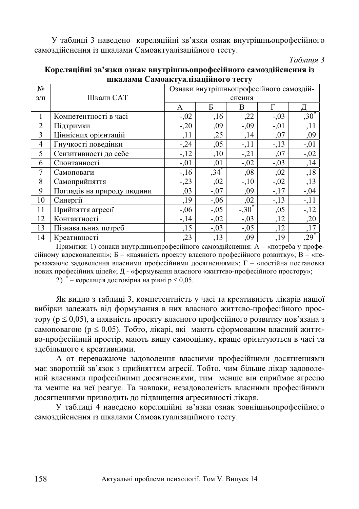У таблиці 3 наведено кореляційні зв'язки ознак внутрішньопрофесійного самоздійснення із шкалами Самоактуалізаційного тесту.

### *Ɍɚɛɥɢɰɹ 3*

|                | шкилилн Симоиктуилищного тесту |                                         |         |          |         |         |  |  |  |
|----------------|--------------------------------|-----------------------------------------|---------|----------|---------|---------|--|--|--|
| N <sub>2</sub> |                                | Ознаки внутрішньопрофесійного самоздій- |         |          |         |         |  |  |  |
| $3/\Pi$        | Шкали САТ                      | снення                                  |         |          |         |         |  |  |  |
|                |                                | A                                       | Б       | B        | Г       |         |  |  |  |
| 1              | Компетентності в часі          | $-.02$                                  | , 16    | ,22      | $-.03$  | $,30^*$ |  |  |  |
| 2              | Підтримки                      | $-.20$                                  | ,09     | $-0.09$  | $-.01$  | ,11     |  |  |  |
| 3              | Ціннісних орієнтацій           | ,11                                     | ,25     | ,14      | ,07     | ,09     |  |  |  |
| 4              | Гнучкості поведінки            | $-24$                                   | ,05     | $-11$    | $-13$   | $-0.01$ |  |  |  |
| 5              | Сензитивності до себе          | $-12$                                   | ,10     | $-21$    | ,07     | $-0.02$ |  |  |  |
| 6              | Спонтанності                   | $-.01$                                  | ,01     | $-.02$   | $-0.03$ | ,14     |  |  |  |
| 7              | Самоповаги                     | $-16$                                   | $,34*$  | ,08      | ,02     | ,18     |  |  |  |
| 8              | Самоприйняття                  | $-.23$                                  | ,02     | $-10$    | $-.02$  | ,13     |  |  |  |
| 9              | Поглядів на природу людини     | ,03                                     | $-.07$  | ,09      | $-17$   | $-0.04$ |  |  |  |
| 10             | Синергії                       | ,19                                     | $-.06$  | ,02      | $-13$   | $-11$   |  |  |  |
| 11             | Прийняття агресії              | $-0,06$                                 | $-0.05$ | $-.30^*$ | ,05     | $-12$   |  |  |  |
| 12             | Контактності                   | $-14$                                   | $-.02$  | $-.03$   | ,12     | ,20     |  |  |  |
| 13             | Пізнавальних потреб            | ,15                                     | $-.03$  | $-.05$   | ,12     | ,17     |  |  |  |
| 14             | Креативності                   | ,23                                     | ,13     | ,09      | ,19     | $,29$ * |  |  |  |

## Кореляційні зв'язки ознак внутрішньопрофесійного самоздійснення із **шкалами Самоактуалізаційного тесту**

Примітки: 1) ознаки внутрішньопрофесійного самоздійснення:  $A - \alpha$ потреба у професійному вдосконаленні»; Б – «наявність проекту власного професійного розвитку»; В – «переважаюче задоволення власними професійними досягненнями»;  $\Gamma$  – «постійна постановка нових професійних цілей»; Д - «формування власного «життєво-професійного простору»;

2) \* – кореляція достовірна на рівні р  $\leq 0.05$ .

Як видно з таблиці 3, компетентність у часі та креативність лікарів нашої вибірки залежать від формування в них власного життєво-професійного простору ( $p \le 0.05$ ), а наявність проекту власного професійного розвитку пов'язана з самоповагою ( $p \le 0.05$ ). Тобто, лікарі, які мають сформованим власний життєво-професійний простір, мають вищу самооцінку, краще орієнтуються в часі та здебільшого є креативними.

А от переважаюче задоволення власними професійними досягненнями має зворотній зв'язок з прийняттям агресії. Тобто, чим більше лікар задоволений власними професійними досягненнями, тим менше він сприймає агресію та менше на неї реагує. Та навпаки, незадоволеність власними професійними досягненнями призводить до підвищення агресивності лікаря.

У таблиці 4 наведено кореляційні зв'язки ознак зовнішньопрофесійного самоздійснення із шкалами Самоактуалізаційного тесту.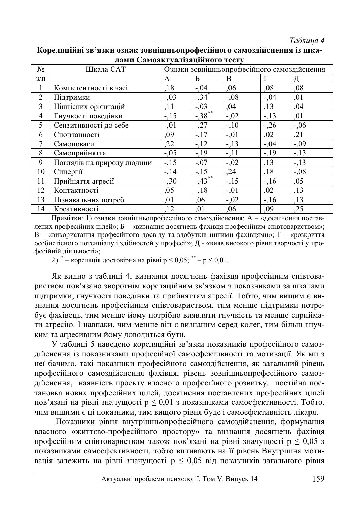#### $Ta6$ лиия 4

|                | лами Самоактуальзациного тесту |                                             |                     |        |         |         |  |  |  |
|----------------|--------------------------------|---------------------------------------------|---------------------|--------|---------|---------|--|--|--|
| N <sub>o</sub> | Шкала САТ                      | Ознаки зовнішньопрофесійного самоздійснення |                     |        |         |         |  |  |  |
| $3/\Pi$        |                                | A                                           | Б                   | B.     | Г       | Д       |  |  |  |
| 1              | Компетентності в часі          | ,18                                         | $-0.04$             | ,06    | ,08     | ,08     |  |  |  |
| $\overline{c}$ | Підтримки                      | $-.03$                                      | $-34$ <sup>*</sup>  | $-.08$ | $-0.04$ | ,01     |  |  |  |
| 3              | Ціннісних орієнтацій           | ,11                                         | $-.03$              | .04    | ,13     | ,04     |  |  |  |
| $\overline{4}$ | Гнучкості поведінки            | $-15$                                       | $-38$ <sup>**</sup> | $-.02$ | $-13$   | ,01     |  |  |  |
| 5              | Сензитивності до себе          | $-.01$                                      | $-27$               | $-10$  | $-26$   | $-0,06$ |  |  |  |
| 6              | Спонтанності                   | ,09                                         | $-17$               | $-.01$ | ,02     | , 21    |  |  |  |
| 7              | Самоповаги                     | ,22                                         | $-12$               | $-.13$ | $-.04$  | $-0.09$ |  |  |  |
| 8              | Самоприйняття                  | $-.05$                                      | $-19$               | $-.11$ | $-19$   | $-13$   |  |  |  |
| 9              | Поглядів на природу людини     | $-15$                                       | $-0.07$             | $-.02$ | ,13     | $-13$   |  |  |  |
| 10             | Синергії                       | $-14$                                       | $-15$               | ,24    | ,18     | $-.08$  |  |  |  |
| 11             | Прийняття агресії              | $-30$                                       | $-43$ <sup>**</sup> | $-15$  | $-16$   | ,05     |  |  |  |
| 12             | Контактності                   | ,05                                         | $-18$               | $-.01$ | ,02     | ,13     |  |  |  |
| 13             | Пізнавальних потреб            | ,01                                         | .06                 | $-.02$ | $-16$   | ,13     |  |  |  |
| 14             | Креативності                   | .12                                         | ,01                 | .06    | ,09     | ,25     |  |  |  |

#### Кореляційні зв'язки ознак зовнішньопрофесійного самозлійснення із шка**ποΜΗ ΓοΜΛΟΡΥΥ ΤΗΣΩΩΤΗΣ**

Примітки: 1) ознаки зовнішньопрофесійного самоздійснення: А – «досягнення поставлених професійних цілей»; Б – «визнання досягнень фахівця професійним співтовариством»;  $B$  – «використання професійного досвіду та здобутків іншими фахівцями»;  $\Gamma$  – «розкриття особистієного потенціалу і здібностей у професії»; Д - «вияв високого рівня творчості у професійній діяльності»;

2)  $^*$  – кореляція достовірна на рівні р  $\leq 0.05$ ;  $^{**}$  – р  $\leq 0.01$ .

Як видно з таблиці 4, визнання досягнень фахівця професійним співтовариством пов'язано зворотнім кореляційним зв'язком з показниками за шкалами лідтримки, гнучкості поведінки та прийняттям агресії. Тобто, чим вищим є визнання досягнень професійним співтовариством, тим менше підтримки потребує фахівець, тим менше йому потрібно виявляти гнучкість та менше сприймати агресію. І навпаки, чим менше він є визнаним серед колег, тим більш гнучким та агресивним йому доводиться бути.

У таблиці 5 наведено кореляційні зв'язки показників професійного самоздійснення із показниками професійної самоефективності та мотивації. Як ми з неї бачимо, такі показники професійного самоздійснення, як загальний рівень професійного самоздійснення фахівця, рівень зовнішньопрофесійного самоздійснення, наявність проекту власного професійного розвитку, постійна постановка нових професійних пілей, лосягнення поставлених професійних пілей пов'язані на рівні значущості р  $\leq 0.01$  з показниками самоефективності. Тобто, чим вищими є ці показники, тим вищого рівня буде і самоефективність лікаря.

Показники рівня внутрішньопрофесійного самоздійснення, формування власного «життєво-професійного простору» та визнання досягнень фахівця професійним співтовариством також пов'язані на рівні значущості р  $\leq 0.05$  з показниками самоефективності, тобто впливають на її рівень Внутрішня мотивація залежить на рівні значущості р  $\leq 0.05$  від показників загального рівня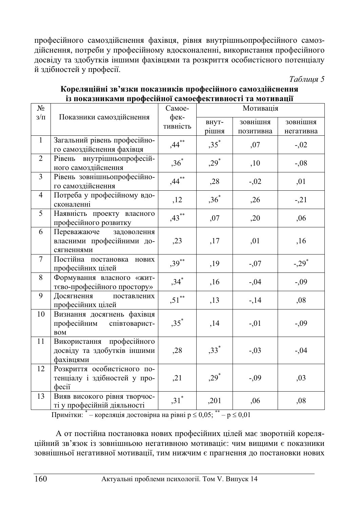професійного самоздійснення фахівця, рівня внутрішньопрофесійного самоздійснення, потреби у професійному вдосконаленні, використання професійного досвіду та здобутків іншими фахівцями та розкриття особистісного потенціалу й здібностей у професії.

 $Ta6$ лиия 5

| $N_2$        |                                                                       | Самое-             | Мотивація      |                       |                       |  |  |
|--------------|-----------------------------------------------------------------------|--------------------|----------------|-----------------------|-----------------------|--|--|
| $3/\Pi$      | Показники самоздійснення                                              | фек-<br>тивність   | внут-<br>рішня | зовнішня<br>позитивна | зовнішня<br>негативна |  |  |
| $\mathbf{1}$ | Загальний рівень професійно-<br>го самоздійснення фахівця             | $,44***$           | $,35^*$        | ,07                   | $-.02$                |  |  |
| 2            | Рівень внутрішньопрофесій-<br>ного самоздійснення                     | $,36^*$            | $,29^*$        | ,10                   | $-0.08$               |  |  |
| 3            | Рівень зовнішньопрофесійно-<br>го самоздійснення                      | $,44***$           | , 28           | $-.02$                | ,01                   |  |  |
| 4            | Потреба у професійному вдо-<br>сконаленні                             | ,12                | $,36^*$        | ,26                   | $-21$                 |  |  |
| 5            | Наявність проекту власного<br>професійного розвитку                   | $,43***$           | ,07            | ,20                   | ,06                   |  |  |
| 6            | Переважаюче<br>задоволення<br>власними професійними до-<br>сягненнями | , 23               | ,17            | ,01                   | ,16                   |  |  |
| $\tau$       | Постійна постановка нових<br>професійних цілей                        | $,39***$           | ,19            | $-0.07$               | $-.29*$               |  |  |
| 8            | Формування власного «жит-<br>тєво-професійного простору»              | $,34$ <sup>*</sup> | ,16            | $-0.04$               | $-0.09$               |  |  |
| 9            | Досягнення<br>поставлених<br>професійних цілей                        | $,51***$           | ,13            | $-14$                 | ,08                   |  |  |
| 10           | Визнання досягнень фахівця<br>професійним співтоварист-<br><b>BOM</b> | $,35$ <sup>*</sup> | ,14            | $-.01$                | $-0.09$               |  |  |
| 11           | Використання професійного<br>досвіду та здобутків іншими<br>фахівцями | .28                | $,33*$         | $-.03$                | $-.04$                |  |  |
| 12           | Розкриття особистісного по-<br>тенціалу і здібностей у про-<br>фесії  | , 21               | $,29*$         | $-0.09$               | ,03                   |  |  |
| 13           | Вияв високого рівня творчос-<br>ті у професійній діяльності           | $,31^*$            | ,201           | .06                   | ,08                   |  |  |

# Кореляційні зв'язки показників професійного самоздійснення **із показниками професійної самоефективності та мотивашї**

Примітки:  $^*$  – кореляція достовірна на рівні р  $\leq 0.05$ ;  $^{**}$  – р  $\leq 0.01$ 

А от постійна постановка нових професійних цілей має зворотній кореляційний зв'язок із зовнішньою негативною мотиваціє: чим вищими є показники зовнішньої негативної мотивації, тим нижчим є прагнення до постановки нових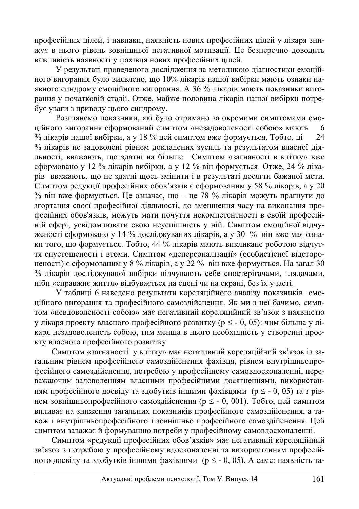професійних цілей, і навпаки, наявність нових професійних цілей у лікаря знижує в нього рівень зовнішньої негативної мотивації. Це безперечно доводить важливість наявності у фахівця нових професійних цілей.

У результаті проведеного дослідження за методикою діагностики емоційного вигорання було виявлено, що 10% лікарів нашої вибірки мають ознаки наявного синдрому емоційного вигорання. А 36 % лікарів мають показники вигорання у початковій стадії. Отже, майже половина лікарів нашої вибірки потребує уваги з приводу цього синдрому.

Розглянемо показники, які було отримано за окремими симптомами емошйного вигорання сформований симптом «незаловоленості собою» мають 6 % лікарів нашої вибірки, а у 18 % цей симптом вже формується. Тобто, ці 24 % лікарів не задоволені рівнем докладених зусиль та результатом власної діяльності, вважають, що здатні на більше. Симптом «загнаності в клітку» вже сформовано у 12 % лікарів вибірки, а у 12 % він формується. Отже, 24 % ліка**пів вважають, що не здатні щось змінити і в результаті досягти бажаної мети.**  $\overline{C}$ имптом редукції професійних обов'язків є сформованим у 58 % лікарів, а у 20 % він вже формується. Це означає, що – це 78 % лікарів можуть прагнути до згортання своєї професійної діяльності, до зменшення часу на виконання професійних обов'язків, можуть мати почуття некомпетентності в своїй професійній сфері, усвідомлювати свою неуспішність у ній. Симптом емоційної відчуженості сформовано у 14 % досліджуваних лікарів, а у 30 % він вже має ознаки того, що формується. Тобто, 44 % лікарів мають викликане роботою відчуття спустошеності і втоми. Симптом «деперсоналізації» (особистісної відстороненості) є сформованим у 8 % лікарів, а у 22 % він вже формується. На загал 30 % лікарів досліджуваної вибірки відчувають себе спостерігачами, глядачами, ніби «справжнє життя» відбувається на сцені чи на екрані, без їх участі.

У таблиці 6 наведено результати кореляційного аналізу показників емоційного вигорання та професійного самоздійснення. Як ми з неї бачимо, симптом «невдоволеності собою» має негативний кореляційний зв'язок з наявністю у лікаря проекту власного професійного розвитку (р  $\leq$  - 0, 05): чим більша у лікаря незадоволеність собою, тим менша в нього необхідність у створенні проекту власного професійного розвитку.

Симптом «загнаності у клітку» має негативний кореляційний зв'язок із загальним рівнем професійного самоздійснення фахівця, рівнем внутрішньопрофесійного самоздійснення, потребою у професійному самовдосконаленні, переважаючим задоволенням власними професійними досягненнями, використанням професійного досвіду та здобутків іншими фахівцями ( $p \le -0$ , 05) та з рівнем зовнішньопрофесійного самоздійснення (р  $\leq$  - 0, 001). Тобто, цей симптом впливає на зниження загальних показників професійного самоздійснення, а також і внутрішньопрофесійного і зовнішньо професійного самоздійснення. Цей симптом заважає й формуванню потреби у професійному самовдосконаленні.

Симптом «редукції професійних обов'язків» має негативний кореляційний зв'язок з потребою у професійному вдосконаленні та використанням професійного досвіду та здобутків іншими фахівцями (р  $\leq$  - 0, 05). А саме: наявність та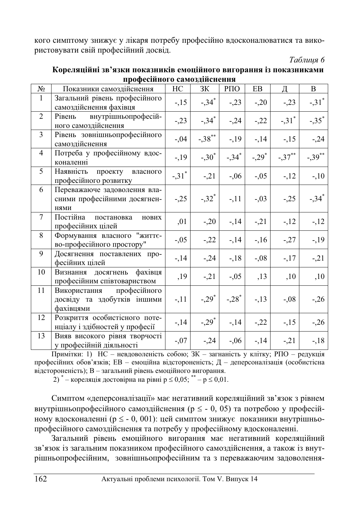кого симптому знижує у лікаря потребу професійно вдосконалюватися та використовувати свій професійний досвід.

 $Ta6$ лиия 6

|                 | професинного самоздиненения                                              |                     |                     |                     |          |                     |                     |  |  |
|-----------------|--------------------------------------------------------------------------|---------------------|---------------------|---------------------|----------|---------------------|---------------------|--|--|
| N <sub>2</sub>  | Показники самоздійснення                                                 | HC                  | ЗК                  | РПО                 | EB       | Д                   | $\mathbf{B}$        |  |  |
| $\mathbf{1}$    | Загальний рівень професійного<br>самоздійснення фахівця                  | $-15$               | $-.34*$             | $-.23$              | $-.20$   | $-23$               | $-.31$ <sup>*</sup> |  |  |
| $\overline{2}$  | внутрішньопрофесій-<br>Рівень<br>ного самоздійснення                     | $-23$               | $-.34*$             | $-24$               | $-22$    | $-.31$ <sup>*</sup> | $-35$ <sup>*</sup>  |  |  |
| 3               | Рівень зовнішньопрофесійного<br>самоздійснення                           | $-0.04$             | $-.38***$           | $-19$               | $-14$    | $-15$               | $-24$               |  |  |
| $\overline{4}$  | Потреба у професійному вдос-<br>коналенні                                | $-19$               | $-.30*$             | $-.34$ <sup>*</sup> | $-.29^*$ | $-.37***$           | $-0.39***$          |  |  |
| 5               | Наявність<br>проекту власного<br>професійного розвитку                   | $-.31$ <sup>*</sup> | $-21$               | $-0.06$             | $-0.05$  | $-12$               | $-10$               |  |  |
| 6               | Переважаюче задоволення вла-<br>сними професійними досягнен-<br>нями     | $-.25$              | $-.32$ <sup>*</sup> | $-11$               | $-0.03$  | $-25$               | $-.34$ <sup>*</sup> |  |  |
| $7\phantom{.0}$ | Постійна<br>постановка<br>нових<br>професійних цілей                     | ,01                 | $-.20$              | $-14$               | $-21$    | $-12$               | $-12$               |  |  |
| 8               | Формування власного "життє-<br>во-професійного простору"                 | $-.05$              | $-22$               | $-14$               | $-16$    | $-27$               | $-19$               |  |  |
| 9               | Досягнення поставлених про-<br>фесійних цілей                            | $-14$               | $-24$               | $-18$               | $-0.08$  | $-17$               | $-21$               |  |  |
| 10              | Визнання досягнень<br>фахівця<br>професійним співтовариством             | ,19                 | $-21$               | $-0.05$             | , 13     | ,10                 | ,10                 |  |  |
| 11              | професійного<br>Використання<br>досвіду та здобутків іншими<br>фахівцями | $-11$               | $-.29*$             | $-.28$ <sup>*</sup> | $-13$    | $-0.08$             | $-26$               |  |  |
| 12              | Розкриття особистісного поте-<br>нціалу і здібностей у професії          | $-14$               | $-.29$ <sup>*</sup> | $-14$               | $-22$    | $-15$               | $-26$               |  |  |
| 13              | Вияв високого рівня творчості<br>у професійній діяльності                | $-0.07$             | $-24$               | $-0.06$             | $-14$    | $-21$               | $-18$               |  |  |

Кореляційні зв'язки показників емоційного вигорання із показниками **πηρφορίμματο σονογιίμουσα** 

 $\Pi$ римітки: 1)  $HC -$ невдоволеність собою;  $3K - 3a$ гнаність у клітку; РПО – редукція професійних обов'язків; ЕВ – емоційна відстороненість; Д – деперсоналізація (особистісна відстороненість); В – загальний рівень емоційного вигорання.

2)  $*$  – кореляція достовірна на рівні р  $\leq 0.05$ ;  $*$  – р  $\leq 0.01$ .

Симптом «деперсоналізації» має негативний кореляційний зв'язок з рівнем внутрішньопрофесійного самоздійснення (р  $\leq$  - 0, 05) та потребою у професійному вдосконаленні (р  $\leq$  - 0, 001): цей симптом знижує показники внутрішньопрофесійного самоздійснення та потребу у професійному вдосконаленні.

Загальний рівень емоційного вигорання має негативний кореляційний зв'язок із загальним показником професійного самоздійснення, а також із внутрішньопрофесійним, зовнішньопрофесійним та з переважаючим задоволення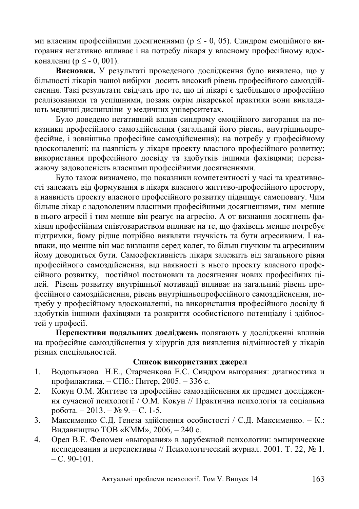ми власним професійними досягненнями (р  $\leq$  - 0, 05). Синдром емоційного вигорання негативно впливає і на потребу лікаря у власному професійному влосконаленні (p < - 0, 001).

Висновки. У результаті проведеного дослідження було виявлено, що у більшості лікарів нашої вибірки досить високий рівень професійного самоздійснення. Такі результати свідчать про те, що ці лікарі є здебільшого професійно реалізованими та успішними, позаяк окрім лікарської практики вони викладають медичні дисципліни у медичних університетах.

Було доведено негативний вплив синдрому емоційного вигорання на показники професійного самоздійснення (загальний його рівень, внутрішньопрофесійне, і зовнішньо професійне самоздійснення); на потребу у професійному •<br>вдосконаленні; на наявність у лікаря проекту власного професійного розвитку; використання професійного досвіду та здобутків іншими фахівцями; переважаючу задоволеність власними професійними досягненнями.

Було також визначено, що показники компетентності у часі та креативності залежать від формування в лікаря власного життєво-професійного простору, а наявність проекту власного професійного розвитку підвищує самоповагу. Чим більше лікар є задоволеним власними професійними досягненнями, тим менше в нього агресії і тим менше він реагує на агресію. А от визнання досягнень фахівця професійним співтовариством впливає на те, що фахівець менше потребує підтримки, йому рідше потрібно виявляти гнучкість та бути агресивним. І навпаки, що менше він має визнання серед колег, то більш гнучким та агресивним йому доводиться бути. Самоефективність лікаря залежить від загального рівня професійного самоздійснення, від наявності в нього проекту власного професійного розвитку, постійної постановки та досягнення нових професійних цілей. Рівень розвитку внутрішньої мотивації впливає на загальний рівень професійного самоздійснення, рівень внутрішньопрофесійного самоздійснення, потребу у професійному вдосконаленні, на використання професійного досвіду й здобутків іншими фахівцями та розкриття особистісного потенціалу і злібностей у професії.

Перспективи подальших досліджень полягають у дослідженні впливів на професійне самоздійснення у хірургів для виявлення відмінностей у лікарів різних спеціальностей.

## Список використаних джерел

- 1. Водопьянова Н.Е., Старченкова Е.С. Синдром выгорания: диагностика и профилактика. – СПб.: Питер, 2005. – 336 с.
- 2. Кокун О.М. Життєве та професійне самоздійснення як предмет досліджен-HЯ сучасної психології / О.М. Кокун // Практична психологія та соціальна  $po6$ <sub>o</sub>ra. – 2013. –  $N_2$  9. – C. 1-5.
- 3. Максименко С.Д. Ґенеза здійснення особистості / С.Д. Максименко. К.: Видавництво ТОВ «КММ», 2006, – 240 с.
- 4. Орел В.Е. Феномен «выгорания» в зарубежной психологии: эмпирические исследования и перспективы // Психологический журнал. 2001. Т. 22, № 1.  $- C. 90 - 101.$